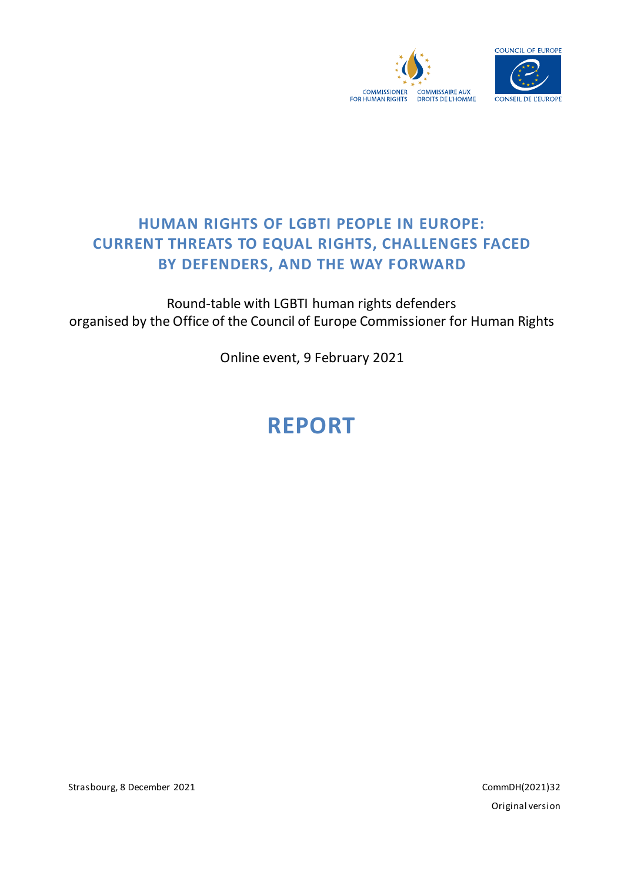



## **HUMAN RIGHTS OF LGBTI PEOPLE IN EUROPE: CURRENT THREATS TO EQUAL RIGHTS, CHALLENGES FACED BY DEFENDERS, AND THE WAY FORWARD**

Round-table with LGBTI human rights defenders organised by the Office of the Council of Europe Commissioner for Human Rights

Online event, 9 February 2021

# **REPORT**

Strasbourg, 8 December 2021 CommDH(2021)32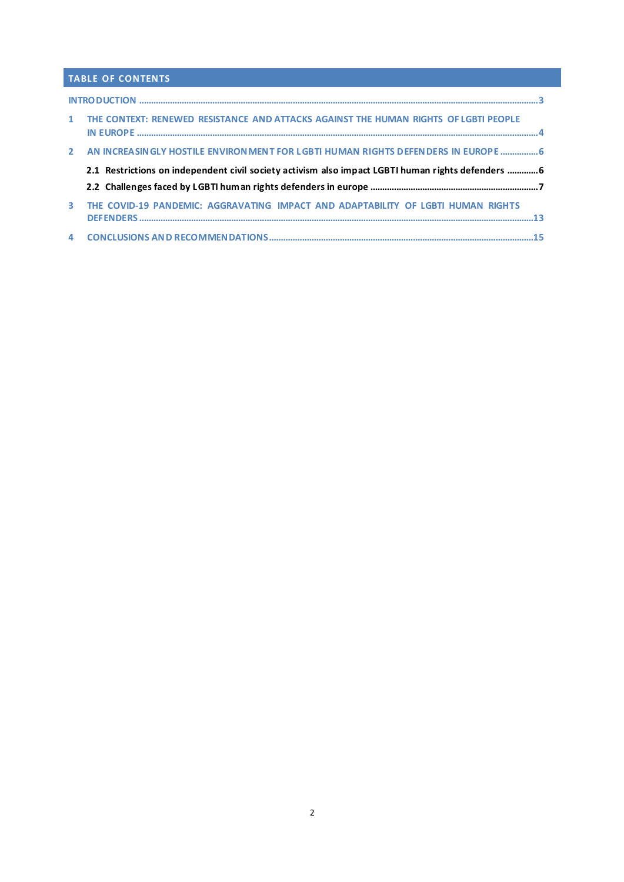### **TABLE OF CONTENTS**

|              | 1 THE CONTEXT: RENEWED RESISTANCE AND ATTACKS AGAINST THE HUMAN RIGHTS OF LGBTI PEOPLE            |
|--------------|---------------------------------------------------------------------------------------------------|
|              | 2 AN INCREASINGLY HOSTILE ENVIRONMENT FOR LGBTI HUMAN RIGHTS DEFENDERS IN EUROPE  6               |
|              | 2.1 Restrictions on independent civil society activism also impact LGBTI human rights defenders 6 |
|              |                                                                                                   |
| $\mathbf{3}$ | THE COVID-19 PANDEMIC: AGGRAVATING IMPACT AND ADAPTABILITY OF LGBTI HUMAN RIGHTS                  |
|              |                                                                                                   |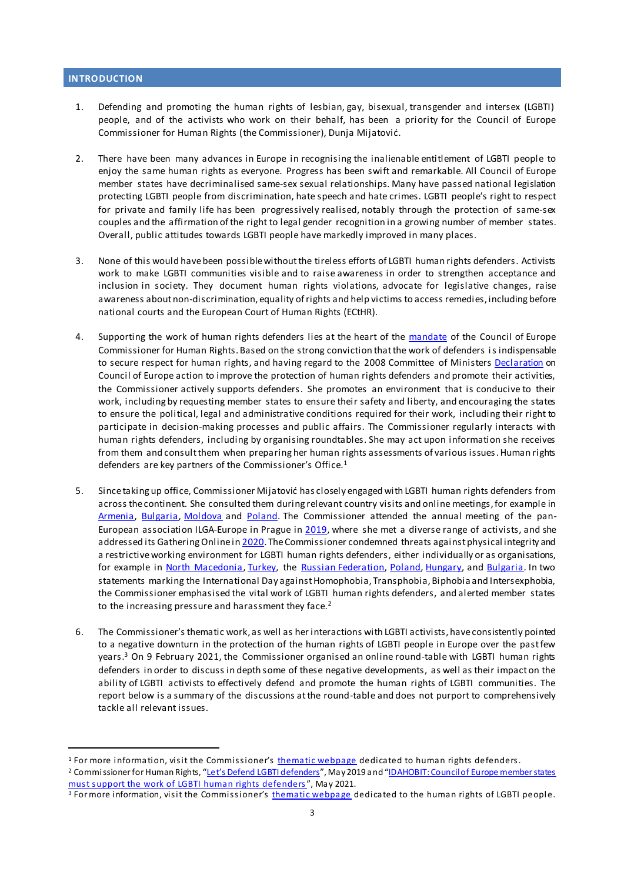#### <span id="page-2-0"></span>**INTRODUCTION**

- 1. Defending and promoting the human rights of lesbian, gay, bisexual, transgender and intersex (LGBTI) people, and of the activists who work on their behalf, has been a priority for the Council of Europe Commissioner for Human Rights (the Commissioner), Dunja Mijatović.
- 2. There have been many advances in Europe in recognising the inalienable entitlement of LGBTI people to enjoy the same human rights as everyone. Progress has been swift and remarkable. All Council of Europe member states have decriminalised same-sex sexual relationships. Many have passed national legislation protecting LGBTI people from discrimination, hate speech and hate crimes. LGBTI people's right to respect for private and family life has been progressively realised, notably through the protection of same-sex couples and the affirmation of the right to legal gender recognition in a growing number of member states. Overall, public attitudes towards LGBTI people have markedly improved in many places.
- 3. None of this would have been possible without the tireless efforts of LGBTI human rights defenders. Activists work to make LGBTI communities visible and to raise awareness in order to strengthen acceptance and inclusion in society. They document human rights violations, advocate for legislative changes, raise awareness about non-discrimination, equality of rights and help victims to access remedies, including before national courts and the European Court of Human Rights (ECtHR).
- 4. Supporting the work of human rights defenders lies at the heart of the [mandate](https://www.coe.int/en/web/commissioner/mandate) of the Council of Europe Commissioner for Human Rights.Based on the strong conviction that the work of defenders is indispensable to secure respect for human rights, and having regard to the 2008 Committee of Minister[s Declaration](https://search.coe.int/cm/Pages/result_details.aspx?ObjectID=09000016805d3e52) on Council of Europe action to improve the protection of human rights defenders and promote their activities, the Commissioner actively supports defenders. She promotes an environment that is conducive to their work, including by requesting member states to ensure their safety and liberty, and encouraging the states to ensure the political, legal and administrative conditions required for their work, including their right to participate in decision-making processes and public affairs. The Commissioner regularly interacts with human rights defenders, including by organising roundtables. She may act upon information she receives from them and consult them when preparing her human rights assessments of various issues. Human rights defenders are key partners of the Commissioner's Office.<sup>1</sup>
- 5. Since taking up office, Commissioner Mijatović has closely engaged with LGBTI human rights defenders from across the continent. She consulted them during relevant country visits and online meetings, for example in [Armenia,](https://www.coe.int/en/web/commissioner/-/report-on-armenia-recommends-measures-to-improve-women-s-rights-protection-of-disadvantaged-or-vulnerable-groups-and-establishing-accountability-for-p) [Bulgaria](https://www.coe.int/en/web/commissioner/-/stronger-commitment-needed-to-combat-racism-fight-gender-stereotypes-and-increase-media-freedom-in-bulgaria), [Moldova](https://www.coe.int/en/web/commissioner/-/the-republic-of-moldova-should-ratify-the-istanbul-convention-improve-its-response-to-hate-speech-and-advance-access-to-quality-healthcare-affordable-) and [Poland](https://www.coe.int/en/web/commissioner/-/poland-should-stop-the-stigmatisation-of-lgbti-people). The Commissioner attended the annual meeting of the panEuropean association ILGA-Europe in Prague i[n 2019,](https://www.coe.int/en/web/commissioner/-/keynote-speech-at-ilga-europe-annual-conference-2019) where she met a diverse range of activists, and she addressed its Gathering Online i[n 2020](https://fb.me/e/1AWz3BNC1). The Commissioner condemned threats against physical integrity and a restrictive working environment for LGBTI human rights defenders, either individually or as organisations, for example in North [Macedonia,](https://twitter.com/CommissionerHR/status/1006607926725939200) [Turkey,](https://www.coe.int/en/web/commissioner/-/turkish-authorities-should-stop-the-stigmatisation-of-lgbti-people) the [Russian Federation,](https://twitter.com/CommissionerHR/status/1092426500975067142) [Poland](https://twitter.com/CommissionerHR/status/1292007235447656448)[, Hungary,](https://www.coe.int/en/web/commissioner/-/it-is-high-time-for-hungary-to-restore-journalistic-and-media-freedoms) and [Bulgaria](https://twitter.com/CommissionerHR/status/1455487586286424064). In two statements marking the International Day against Homophobia, Transphobia, Biphobia and Intersexphobia, the Commissioner emphasised the vital work of LGBTI human rights defenders, and alerted member states to the increasing pressure and harassment they face.<sup>2</sup>
- 6. The Commissioner's thematic work, as well as her interactions with LGBTI activists, have consistently pointed to a negative downturn in the protection of the human rights of LGBTI people in Europe over the past few years. <sup>3</sup> On 9 February 2021, the Commissioner organised an online round-table with LGBTI human rights defenders in order to discuss in depth some of these negative developments, as well as their impact on the ability of LGBTI activists to effectively defend and promote the human rights of LGBTI communities. The report below is a summary of the discussions at the round-table and does not purport to comprehensively tackle all relevant issues.

<sup>&</sup>lt;sup>1</sup> For more information, visit the Commissioner's [thematic we](https://www.coe.int/en/web/commissioner/human-rights-defenders)bpage dedicated to human rights defenders. <sup>2</sup> Commissioner for Human Rights, ["Let's Defend LGBTI defenders](https://www.coe.int/en/web/commissioner/-/let-s-defend-lgbti-defenders)", May 2019 and "IDAHOBIT: Council of Europe member states must support the work of [LGBTI human rights defen](https://www.youtube.com/watch?v=HPAuU5EB0r4)ders ", May 2021.

<sup>&</sup>lt;sup>3</sup> For more information, visit the Commissioner's [thematic web](https://www.coe.int/en/web/commissioner/thematic-work/lgbti)page dedicated to the human rights of LGBTI people.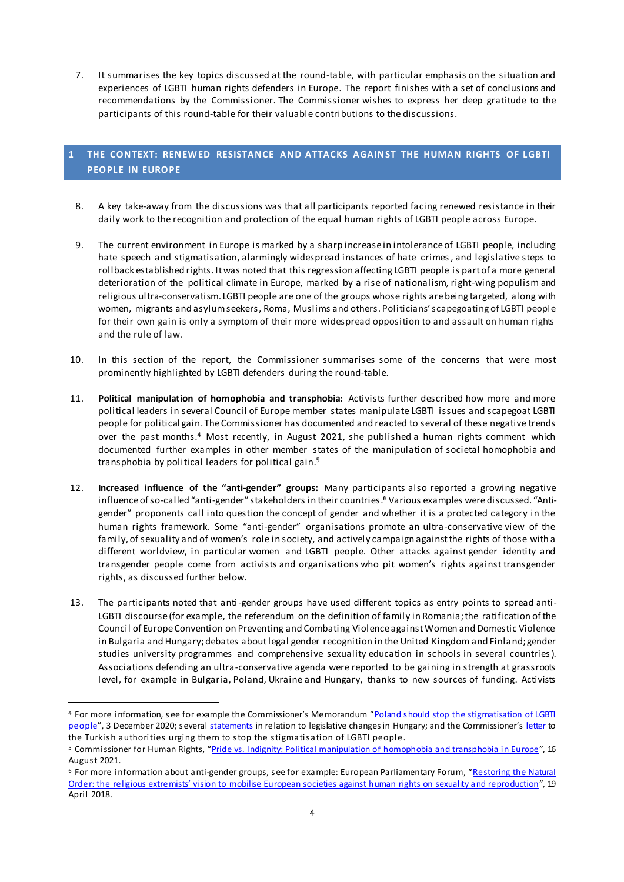7. It summarises the key topics discussed at the round-table, with particular emphasis on the situation and experiences of LGBTI human rights defenders in Europe. The report finishes with a set of conclusions and recommendations by the Commissioner. The Commissioner wishes to express her deep gratitude to the participants of this round-table for their valuable contributions to the discussions.

#### <span id="page-3-0"></span>**1 THE CONTEXT: RENEWED RESISTANCE AND ATTACKS AGAINST THE HUMAN RIGHTS OF L GBTI PEOPLE IN EUROPE**

- 8. A key take-away from the discussions was that all participants reported facing renewed resistance in their daily work to the recognition and protection of the equal human rights of LGBTI people across Europe.
- 9. The current environment in Europe is marked by a sharp increase in intolerance of LGBTI people, including hate speech and stigmatisation, alarmingly widespread instances of hate crimes, and legislative steps to rollback established rights. It was noted that this regression affecting LGBTI people is part of a more general deterioration of the political climate in Europe, marked by a rise of nationalism, right-wing populism and religious ultra-conservatism. LGBTI people are one of the groups whose rights are being targeted, along with women, migrants and asylum seekers, Roma, Muslims and others. Politicians' scapegoating of LGBTI people for their own gain is only a symptom of their more widespread opposition to and assault on human rights and the rule of law.
- 10. In this section of the report, the Commissioner summarises some of the concerns that were most prominently highlighted by LGBTI defenders during the round-table.
- 11. **Political manipulation of homophobia and transphobia:** Activists further described how more and more political leaders in several Council of Europe member states manipulate LGBTI issues and scapegoat LGBTI people for political gain. The Commissioner has documented and reacted to several of these negative trends over the past months.<sup>4</sup> Most recently, in August 2021, she published a human rights comment which documented further examples in other member states of the manipulation of societal homophobia and transphobia by political leaders for political gain. 5
- 12. **Increased influence of the "anti-gender" groups:** Many participants also reported a growing negative influence of so-called "anti-gender" stakeholders in their countries. <sup>6</sup> Various examples were discussed. "Antigender" proponents call into question the concept of gender and whether it is a protected category in the human rights framework. Some "anti-gender" organisations promote an ultra-conservative view of the family, of sexuality and of women's role in society, and actively campaign against the rights of those with a different worldview, in particular women and LGBTI people. Other attacks against gender identity and transgender people come from activists and organisations who pit women's rights against transgender rights, as discussed further below.
- 13. The participants noted that anti-gender groups have used different topics as entry points to spread anti-LGBTI discourse (for example, the referendum on the definition of family in Romania; the ratification of the Council of Europe Convention on Preventing and Combating Violence against Women and Domestic Violence in Bulgaria and Hungary;debates about legal gender recognition in the United Kingdom and Finland; gender studies university programmes and comprehensive sexuality education in schools in several countries). Associations defending an ultra-conservative agenda were reported to be gaining in strength at grassroots level, for example in Bulgaria, Poland, Ukraine and Hungary, thanks to new sources of funding. Activists

<sup>4</sup> For more information, s ee for example the Commissioner's Memorandum "[Poland should stop the stigmatisation of LGBTI](https://www.coe.int/en/web/commissioner/-/poland-should-stop-the-stigmatisation-of-lgbti-people)  [people](https://www.coe.int/en/web/commissioner/-/poland-should-stop-the-stigmatisation-of-lgbti-people)", 3 December 2020; several [statements](https://www.coe.int/en/web/commissioner/country-monitoring/hungary) in relation to legislative changes in Hungary; and the Commissioner's [letter](https://www.coe.int/en/web/commissioner/-/turkish-authorities-should-stop-the-stigmatisation-of-lgbti-people) to the Turkish authorities urging them to stop the stigmatisation of LGBTI people.

<sup>&</sup>lt;sup>5</sup> Commissioner for Human Rights, "[Pride vs. Indignity: Political manipulation of homophobia and transphobia in Europe](https://www.coe.int/en/web/commissioner/-/pride-vs-indignity-political-manipulation-of-homophobia-and-transphobia-in-europe?inheritRedirect=true&redirect=%2Fen%2Fweb%2Fcommissioner%2Fthematic-work%2Flgbti)", 16 August 2021.

<sup>&</sup>lt;sup>6</sup> For more information about anti-gender groups, see for example: European Parliamentary Forum, "Restoring the Natural [Order: the religious extremists' vision to mobilise European societies against human rights on sexuality and reproduction](https://www.epfweb.org/node/175)", 19 April 2018.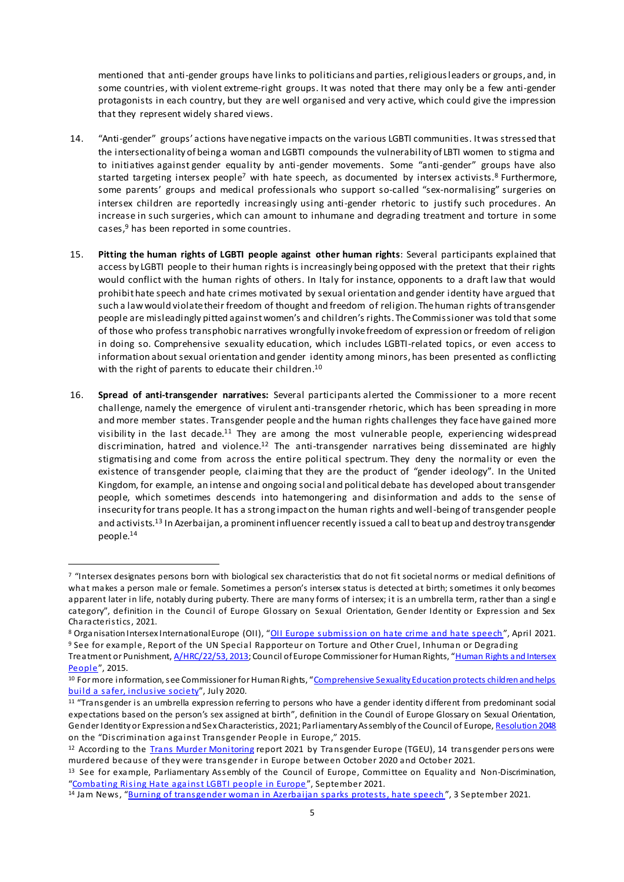mentioned that anti-gender groups have links to politicians and parties,religious leaders or groups, and, in some countries, with violent extreme-right groups. It was noted that there may only be a few anti-gender protagonists in each country, but they are well organised and very active, which could give the impression that they represent widely shared views.

- 14. "Anti-gender" groups' actions havenegative impacts on the various LGBTI communities. It was stressed that the intersectionality of being a woman and LGBTI compounds the vulnerability of LBTI women to stigma and to initiatives against gender equality by anti-gender movements. Some "anti-gender" groups have also started targeting intersex people<sup>7</sup> with hate speech, as documented by intersex activists.<sup>8</sup> Furthermore, some parents' groups and medical professionals who support so-called "sex-normalising" surgeries on intersex children are reportedly increasingly using anti-gender rhetoric to justify such procedures. An increase in such surgeries, which can amount to inhumane and degrading treatment and torture in some cases, <sup>9</sup> has been reported in some countries.
- 15. **Pitting the human rights of LGBTI people against other human rights**: Several participants explained that access by LGBTI people to their human rights is increasingly being opposed with the pretext that their rights would conflict with the human rights of others. In Italy for instance, opponents to a draft law that would prohibit hate speech and hate crimes motivated by sexual orientation and gender identity have argued that such a law would violate their freedom of thought and freedom of religion. The human rights of transgender people are misleadingly pitted against women's and children's rights. The Commissioner was told that some of those who profess transphobic narratives wrongfully invoke freedom of expression or freedom of religion in doing so. Comprehensive sexuality education, which includes LGBTI-related topics, or even access to information about sexual orientation and gender identity among minors, has been presented as conflicting with the right of parents to educate their children. $^{10}$
- 16. **Spread of anti-transgender narratives:** Several participants alerted the Commissioner to a more recent challenge, namely the emergence of virulent anti-transgender rhetoric, which has been spreading in more and more member states. Transgender people and the human rights challenges they face have gained more visibility in the last decade.<sup>11</sup> They are among the most vulnerable people, experiencing widespread discrimination, hatred and violence.<sup>12</sup> The anti-transgender narratives being disseminated are highly stigmatising and come from across the entire political spectrum. They deny the normality or even the existence of transgender people, claiming that they are the product of "gender ideology". In the United Kingdom, for example, an intense and ongoing social and political debate has developed about transgender people, which sometimes descends into hatemongering and disinformation and adds to the sense of insecurity for trans people. It has a strong impact on the human rights and well-being of transgender people and activists.<sup>13</sup> In Azerbaijan, a prominent influencer recently issued a call to beat up and destroy transgender people.<sup>14</sup>

<sup>7 &</sup>quot;Intersex designates persons born with biological sex characteristics that do not fit societal norms or medical definitions of what makes a person male or female. Sometimes a person's intersex status is detected at birth; sometimes it only becomes apparent later in life, notably during puberty. There are many forms of intersex; it is an umbrella term, rather than a singl e category", definition in the Council of Europe Glossary on Sexual Orientation, Gender Identity or Expression and Sex Characteristics, 2021.

<sup>8</sup> Organisation Intersex International Europe (OII), "[OII Europe submission on hate crime and hate s](https://oiieurope.org/hate-crime-hate-speech-submission/)peech", April 2021. <sup>9</sup> See for example, Report of the UN Special Rapporteur on Torture and Other Cruel, Inhuman or Degrading

Treatment or Punishment[, A/HRC/22/53, 2013;](https://undocs.org/A/HRC/22/53) Council of Europe Commissioner for Human Rights, "Human Rights and Intersex [People](http://rm.coe.int/human-rights-and-intersex-people-issue-paper-published-by-the-council-/16806da5d4)", 2015.

<sup>10</sup> For more information, see Commissioner for Human Rights, "Comprehensive Sexuality Education protects children and helps [build a safer, inclusive soci](https://www.coe.int/en/web/commissioner/-/comprehensive-sexuality-education-protects-children-and-helps-build-a-safer-inclusive-society)ety", July 2020.

<sup>&</sup>lt;sup>11</sup> "Transgender is an umbrella expression referring to persons who have a gender identity different from predominant social expectations based on the person's sex assigned at birth", definition in the Council of Europe Glossary on Sexual Orientation, Gender Identity or Expression and Sex Characteristics, 2021; Parliamentary Assembly of the Council of Europ[e, Resolution 2048](http://assembly.coe.int/nw/xml/XRef/Xref-XML2HTML-en.asp?fileid=21736) on the "Discrimination against Transgender People in Europe," 2015.

<sup>&</sup>lt;sup>12</sup> According to the **Trans Murder Monitoring report 2021** by Transgender Europe (TGEU), 14 transgender persons were murdered because of they were transgender in Europe between October 2020 and October 2021.

<sup>13</sup> See for example, Parliamentary Assembly of the Council of Europe, Committee on Equality and Non-Discrimination, "[Combating Rising Hate against LGBTI people in Eu](https://www.coe.int/en/web/sogi/-/pace-report-denounces-the-rise-in-hatred-against-lgbti-persons)rope", September 2021.

<sup>&</sup>lt;sup>14</sup> Jam News, "[Burning of transgender woman in Azerbaijan sparks protests, hate](https://jam-news.net/burning-of-transgender-woman-in-azerbaijan-sparks-protests-hate-speech/) speech", 3 September 2021.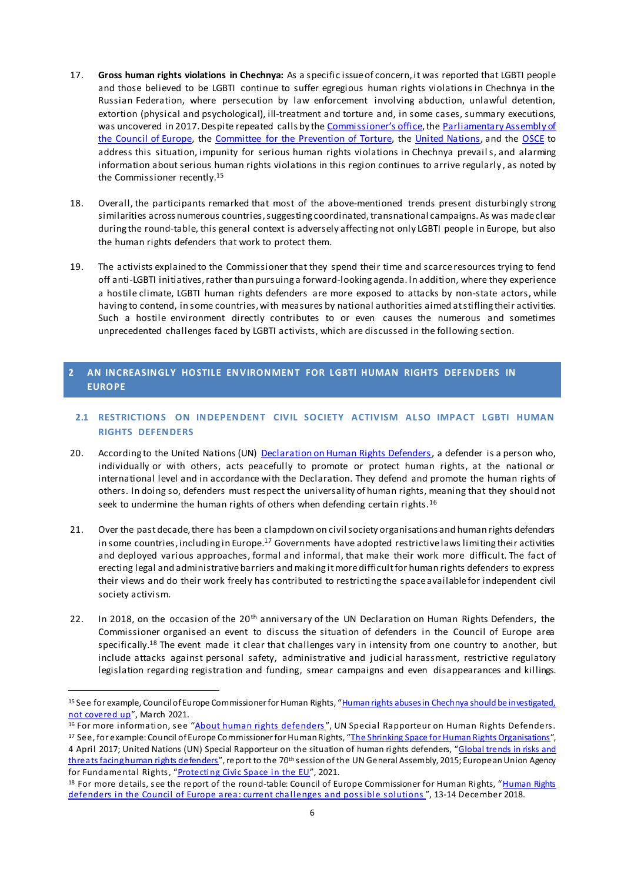- 17. **Gross human rights violations in Chechnya:** As a specific issue of concern, it was reported that LGBTI people and those believed to be LGBTI continue to suffer egregious human rights violations in Chechnya in the Russian Federation, where persecution by law enforcement involving abduction, unlawful detention, extortion (physical and psychological), ill-treatment and torture and, in some cases, summary executions, was uncovered in 2017. Despite repeated calls by the C[ommissioner's office](https://www.coe.int/en/web/commissioner/-/the-long-march-against-homophobia-and-transphobia), th[e Parliamentary Assembly of](https://assembly.coe.int/nw/xml/XRef/Xref-XML2HTML-en.asp?fileid=24962&lang=en)  [the Council of Europe,](https://assembly.coe.int/nw/xml/XRef/Xref-XML2HTML-en.asp?fileid=24962&lang=en) the [Committee for the Prevention of Torture,](https://rm.coe.int/16809371ee) th[e United Nations,](https://www.ohchr.org/EN/NewsEvents/Pages/DisplayNews.aspx?NewsID=24162&LangID=E) and th[e OSCE](https://www.osce.org/permanent-council/407513) to address this situation, impunity for serious human rights violations in Chechnya prevails, and alarming information about serious human rights violations in this region continues to arrive regularly , as noted by the Commissioner recently.<sup>15</sup>
- 18. Overall, the participants remarked that most of the above-mentioned trends present disturbingly strong similarities across numerous countries, suggesting coordinated, transnational campaigns. As was made clear during the round-table, this general context is adversely affecting not only LGBTI people in Europe, but also the human rights defenders that work to protect them.
- 19. The activists explained to the Commissioner that they spend their time and scarce resources trying to fend off anti-LGBTI initiatives, rather than pursuing a forward-looking agenda. In addition, where they experience a hostile climate, LGBTI human rights defenders are more exposed to attacks by non-state actors, while having to contend, in some countries, with measures by national authorities aimed at stifling their activities. Such a hostile environment directly contributes to or even causes the numerous and sometimes unprecedented challenges faced by LGBTI activists, which are discussed in the following section.

#### <span id="page-5-0"></span>**2** AN INCREASINGLY HOSTILE ENVIRONMENT FOR LGBTI HUMAN RIGHTS DEFENDERS IN **EUROPE**

#### <span id="page-5-1"></span>**2.1 RESTRICTIONS ON INDEPENDENT CIVIL SOCIETY ACTIVISM ALSO IMPACT LGBTI HUMAN RIGHTS DEFENDERS**

- 20. According to the United Nations (UN) [Declaration on Human Rights Defenders,](https://www.ohchr.org/EN/Issues/SRHRDefenders/Pages/Translation.aspx) a defender is a person who, individually or with others, acts peacefully to promote or protect human rights, at the national or international level and in accordance with the Declaration. They defend and promote the human rights of others. In doing so, defenders must respect the universality of human rights, meaning that they should not seek to undermine the human rights of others when defending certain rights.<sup>16</sup>
- 21. Over the past decade, there has been a clampdown on civil society organisations and human rights defenders in some countries, including in Europe.<sup>17</sup> Governments have adopted restrictive laws limiting their activities and deployed various approaches, formal and informal, that make their work more difficult. The fact of erecting legal and administrative barriers and making it more difficult for human rights defenders to express their views and do their work freely has contributed to restricting the space available for independent civil society activism.
- 22. In 2018, on the occasion of the 20<sup>th</sup> anniversary of the UN Declaration on Human Rights Defenders, the Commissioner organised an event to discuss the situation of defenders in the Council of Europe area specifically.<sup>18</sup> The event made it clear that challenges vary in intensity from one country to another, but include attacks against personal safety, administrative and judicial harassment, restrictive regulatory legislation regarding registration and funding, smear campaigns and even disappearances and killings.

<sup>15</sup> See for example, Council of Europe Commissioner for Human Rights, "Human rights abuses in Chechnya should be investigated, [not covered up](https://www.coe.int/en/web/commissioner/-/human-rights-abuses-in-chechnya-should-be-investigated-not-covered-up)", March 2021.

<sup>&</sup>lt;sup>16</sup> For more information, see "[About human rights defen](https://www.ohchr.org/EN/Issues/SRHRDefenders/Pages/Defender.aspx)ders", UN Special Rapporteur on Human Rights Defenders.

<sup>&</sup>lt;sup>17</sup> See, for example: Council of Europe Commissioner for Human Rights, "[The Shrinking Space for Human Rights Organisations](https://www.coe.int/en/web/commissioner/-/the-shrinking-space-for-human-rights-organisations)", 4 April 2017; United Nations (UN) Special Rapporteur on the situation of human rights defenders, "Global trends in risks and [threats facing human rights defenders](https://undocs.org/A/HRC/45/45)", report to the 70<sup>th</sup> session of the UN General Assembly, 2015; European Union Agency for Fundamental Rights, "[Protecting Civic Space in th](https://fra.europa.eu/en/publication/2021/civic-space-challenges)e EU", 2021.

<sup>18</sup> For more details, see the report of the round-table: Council of Europe Commissioner for Human Rights, "Human Rights [defenders in the Council of Europe area: current challenges and possible s](https://rm.coe.int/hr-defenders-in-the-coe-area-current-challenges-and-possible-solutions/168093aabf)olutions", 13-14 December 2018.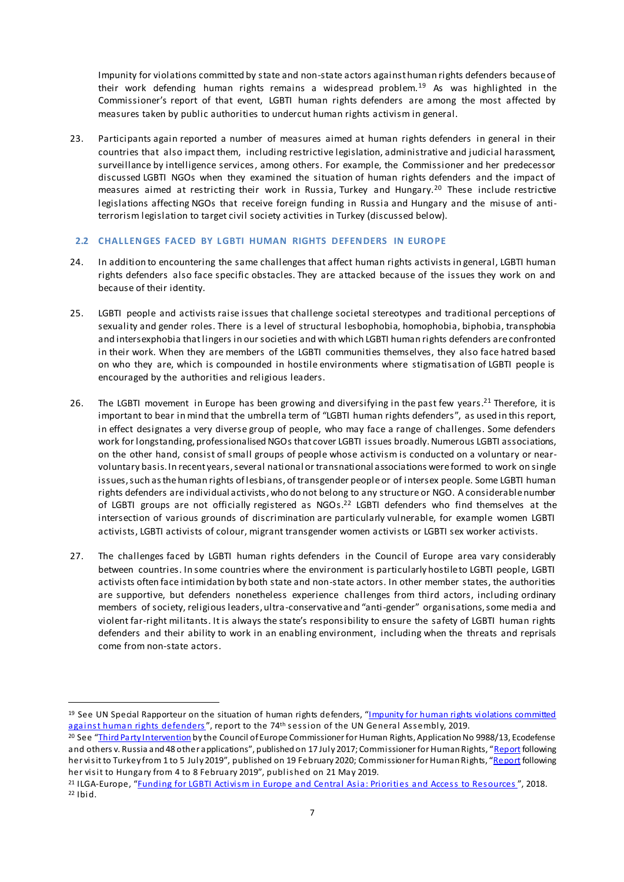Impunity for violations committed by state and non-state actors against human rights defenders because of their work defending human rights remains a widespread problem.<sup>19</sup> As was highlighted in the Commissioner's report of that event, LGBTI human rights defenders are among the most affected by measures taken by public authorities to undercut human rights activism in general.

23. Participants again reported a number of measures aimed at human rights defenders in general in their countries that also impact them, including restrictive legislation, administrative and judicial harassment, surveillance by intelligence services, among others. For example, the Commissioner and her predecessor discussed LGBTI NGOs when they examined the situation of human rights defenders and the impact of measures aimed at restricting their work in Russia, Turkey and Hungary.<sup>20</sup> These include restrictive legislations affecting NGOs that receive foreign funding in Russia and Hungary and the misuse of antiterrorism legislation to target civil society activities in Turkey (discussed below).

#### <span id="page-6-0"></span>**2.2 CHALLENGES FACED BY LGBTI HUMAN RIGHTS DEFENDERS IN EUROPE**

- 24. In addition to encountering the same challenges that affect human rights activists in general, LGBTI human rights defenders also face specific obstacles. They are attacked because of the issues they work on and because of their identity.
- 25. LGBTI people and activists raise issues that challenge societal stereotypes and traditional perceptions of sexuality and gender roles. There is a level of structural lesbophobia, homophobia, biphobia, transphobia and intersexphobia that lingers in our societies and with which LGBTI human rights defenders are confronted in their work. When they are members of the LGBTI communities themselves, they also face hatred based on who they are, which is compounded in hostile environments where stigmatisation of LGBTI people is encouraged by the authorities and religious leaders.
- 26. The LGBTI movement in Europe has been growing and diversifying in the past few years.<sup>21</sup> Therefore, it is important to bear in mind that the umbrella term of "LGBTI human rights defenders", as used in this report, in effect designates a very diverse group of people, who may face a range of challenges. Some defenders work for longstanding, professionalised NGOs that cover LGBTI issues broadly. Numerous LGBTI associations, on the other hand, consist of small groups of people whose activism is conducted on a voluntary or nearvoluntary basis. In recent years, several national or transnational associations were formed to work on single issues, such as the human rights of lesbians, of transgender people or of intersex people. Some LGBTI human rights defenders are individual activists,who do not belong to any structure or NGO. A considerable number of LGBTI groups are not officially registered as NGOs. <sup>22</sup> LGBTI defenders who find themselves at the intersection of various grounds of discrimination are particularly vulnerable, for example women LGBTI activists, LGBTI activists of colour, migrant transgender women activists or LGBTI sex worker activists.
- 27. The challenges faced by LGBTI human rights defenders in the Council of Europe area vary considerably between countries. In some countries where the environment is particularly hostile to LGBTI people, LGBTI activists often face intimidation by both state and non-state actors. In other member states, the authorities are supportive, but defenders nonetheless experience challenges from third actors, including ordinary members of society, religious leaders, ultra-conservative and "anti-gender" organisations,some media and violent far-right militants. It is always the state's responsibility to ensure the safety of LGBTI human rights defenders and their ability to work in an enabling environment, including when the threats and reprisals come from non-state actors.

<sup>19</sup> See UN Special Rapporteur on the situation of human rights defenders, "[Impunity for human rights violations committed](https://undocs.org/en/A/74/159)  [against human rights defend](https://undocs.org/en/A/74/159)ers", report to the 74th session of the UN General Assembly, 2019.

<sup>&</sup>lt;sup>20</sup> See "[Third Party Intervention](https://www.coe.int/en/web/commissioner/-/the-russian-federation-s-law-on-foreign-agents-contravenes-human-rights) by the Council of Europe Commissioner for Human Rights, Application No 9988/13, Ecodefense and others v. Russia and 48 other applications", published on 17 July 2017; Commissioner for Human Rights, "[Report](https://rm.coe.int/report-on-the-visit-to-turkey-by-dunja-mijatovic-council-of-europe-com/168099823e) following her visit to Turkey from 1 to 5 July 2019", published on 19 February 2020; Commissioner for Human Rights, "[Report](https://rm.coe.int/report-on-the-visit-to-hungary-from-4-to-8-february-2019-by-dunja-mija/1680942f0d) following her visit to Hungary from 4 to 8 February 2019", published on 21 May 2019.

<sup>&</sup>lt;sup>21</sup> ILGA-Europe, "[Funding for LGBTI Activism in Europe and Central Asia: Priorities and Access to R](https://www.ilga-europe.org/sites/default/files/funding_for_lgbti_activism_in_europe_and_central_asia.pdf)esources", 2018.  $22$  Ibid.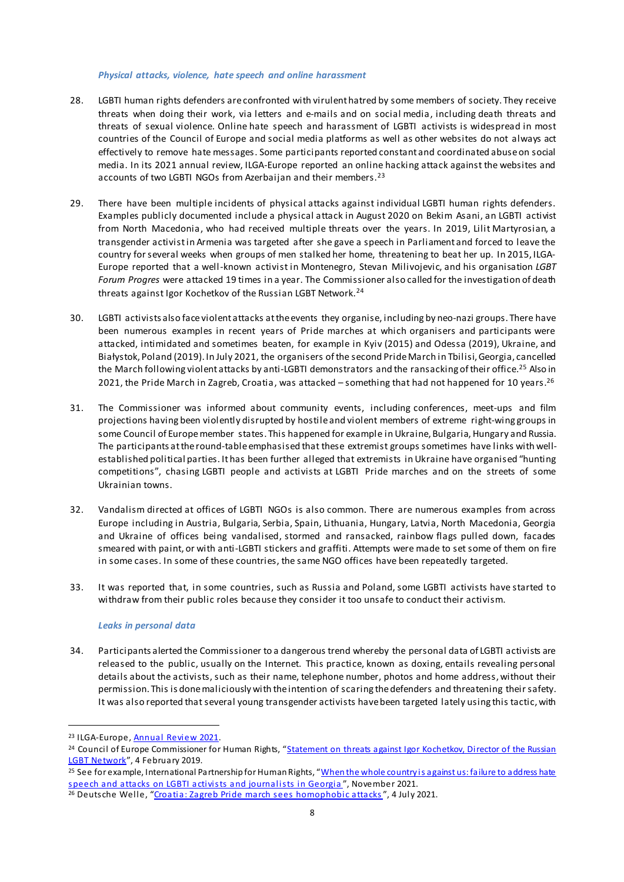#### *Physical attacks, violence, hate speech and online harassment*

- 28. LGBTI human rights defenders are confronted with virulent hatred by some members of society. They receive threats when doing their work, via letters and e-mails and on social media, including death threats and threats of sexual violence. Online hate speech and harassment of LGBTI activists is widespread in most countries of the Council of Europe and social media platforms as well as other websites do not always act effectively to remove hate messages. Some participants reported constant and coordinated abuse on social media. In its 2021 annual review, ILGA-Europe reported an online hacking attack against the websites and accounts of two LGBTI NGOs from Azerbaijan and their members.<sup>23</sup>
- 29. There have been multiple incidents of physical attacks against individual LGBTI human rights defenders. Examples publicly documented include a physical attack in August 2020 on Bekim Asani, an LGBTI activist from North Macedonia, who had received multiple threats over the years. In 2019, Lilit Martyrosian, a transgender activist in Armenia was targeted after she gave a speech in Parliament and forced to leave the country for several weeks when groups of men stalked her home, threatening to beat her up. In 2015, ILGA-Europe reported that a well-known activist in Montenegro, Stevan Milivojevic, and his organisation *LGBT Forum Progres* were attacked 19 times in a year. The Commissioner also called for the investigation of death threats against Igor Kochetkov of the Russian LGBT Network.<sup>24</sup>
- 30. LGBTI activists also face violent attacks at the events they organise, including by neo-nazi groups. There have been numerous examples in recent years of Pride marches at which organisers and participants were attacked, intimidated and sometimes beaten, for example in Kyiv (2015) and Odessa (2019), Ukraine, and Białystok, Poland (2019). In July 2021, the organisers of the second Pride March in Tbilisi, Georgia, cancelled the March following violent attacks by anti-LGBTI demonstrators and the ransacking of their office.<sup>25</sup> Also in 2021, the Pride March in Zagreb, Croatia, was attacked – something that had not happened for 10 years.<sup>26</sup>
- 31. The Commissioner was informed about community events, including conferences, meet-ups and film projections having been violently disrupted by hostile and violent members of extreme right-wing groups in some Council of Europe member states. This happened for example in Ukraine, Bulgaria, Hungary and Russia. The participants at the round-table emphasised that these extremist groups sometimes have links with wellestablished political parties. It has been further alleged that extremists in Ukraine have organised "hunting competitions", chasing LGBTI people and activists at LGBTI Pride marches and on the streets of some Ukrainian towns.
- 32. Vandalism directed at offices of LGBTI NGOs is also common. There are numerous examples from across Europe including in Austria, Bulgaria, Serbia, Spain, Lithuania, Hungary, Latvia, North Macedonia, Georgia and Ukraine of offices being vandalised, stormed and ransacked, rainbow flags pulled down, facades smeared with paint, or with anti-LGBTI stickers and graffiti. Attempts were made to set some of them on fire in some cases. In some of these countries, the same NGO offices have been repeatedly targeted.
- 33. It was reported that, in some countries, such as Russia and Poland, some LGBTI activists have started to withdraw from their public roles because they consider it too unsafe to conduct their activism.

#### *Leaks in personal data*

34. Participants alerted the Commissioner to a dangerous trend whereby the personal data of LGBTI activists are released to the public, usually on the Internet. This practice, known as doxing, entails revealing personal details about the activists, such as their name, telephone number, photos and home address,without their permission. This is done maliciously with the intention of scaring the defenders and threatening theirsafety. It was also reported that several young transgender activists havebeen targeted lately using this tactic,with

<sup>23</sup> ILGA-Europ[e, Annual Review 202](https://www.ilga-europe.org/annualreview/2021)1.

<sup>&</sup>lt;sup>24</sup> Council of Europe Commissioner for Human Rights, "Statement on threats against Igor Kochetkov, Director of the Russian [LGBT Network](https://www.facebook.com/CommissionerHR/posts/1177357629106812)", 4 February 2019.

<sup>&</sup>lt;sup>25</sup> See for example, International Partnership for Human Rights, "When the whole country is against us: failure to address hate [speech and attacks on LGBTI activists and journalists in G](https://www.iphronline.org/georgia-it-felt-like-the-whole-country-was-against-us-investigation-into-attacks-against-journalists-and-lgbtiq-activists-in-georgia.html)eorgia", November 2021.

<sup>&</sup>lt;sup>26</sup> Deutsche Welle, "[Croatia: Zagreb Pride march sees homophobic a](https://www.dw.com/en/croatia-zagreb-pride-march-sees-homophobic-attacks/a-58157432)ttacks", 4 July 2021.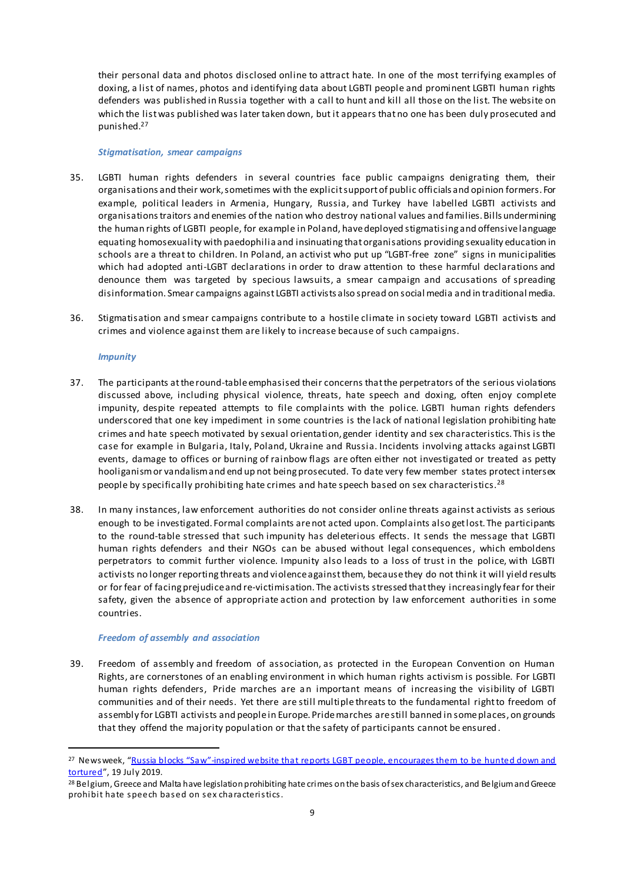their personal data and photos disclosed online to attract hate. In one of the most terrifying examples of doxing, a list of names, photos and identifying data about LGBTI people and prominent LGBTI human rights defenders was published in Russia together with a call to hunt and kill all those on the list. The website on which the list was published was later taken down, but it appears that no one has been duly prosecuted and punished. 27

#### *Stigmatisation, smear campaigns*

- 35. LGBTI human rights defenders in several countries face public campaigns denigrating them, their organisations and their work, sometimes with the explicit support of public officials and opinion formers. For example, political leaders in Armenia, Hungary, Russia, and Turkey have labelled LGBTI activists and organisations traitors and enemies of the nation who destroy national values and families. Bills undermining the human rights of LGBTI people, for example in Poland, have deployed stigmatising and offensive language equating homosexuality with paedophilia and insinuating that organisations providing sexuality education in schools are a threat to children. In Poland, an activist who put up "LGBT-free zone" signs in municipalities which had adopted anti-LGBT declarations in order to draw attention to these harmful declarations and denounce them was targeted by specious lawsuits, a smear campaign and accusations of spreading disinformation. Smear campaigns against LGBTI activists also spread on social media and in traditional media.
- 36. Stigmatisation and smear campaigns contribute to a hostile climate in society toward LGBTI activists and crimes and violence against them are likely to increase because of such campaigns.

#### *Impunity*

 $\overline{a}$ 

- 37. The participants at the round-table emphasised their concerns that the perpetrators of the serious violations discussed above, including physical violence, threats, hate speech and doxing, often enjoy complete impunity, despite repeated attempts to file complaints with the police. LGBTI human rights defenders underscored that one key impediment in some countries is the lack of national legislation prohibiting hate crimes and hate speech motivated by sexual orientation, gender identity and sex characteristics. This is the case for example in Bulgaria, Italy, Poland, Ukraine and Russia. Incidents involving attacks against LGBTI events, damage to offices or burning of rainbow flags are often either not investigated or treated as petty hooliganism or vandalism and end up not being prosecuted. To date very few member states protect intersex people by specifically prohibiting hate crimes and hate speech based on sex characteristics.<sup>28</sup>
- 38. In many instances, law enforcement authorities do not consider online threats against activists as serious enough to be investigated. Formal complaints are not acted upon. Complaints also get lost. The participants to the round-table stressed that such impunity has deleterious effects. It sends the message that LGBTI human rights defenders and their NGOs can be abused without legal consequences, which emboldens perpetrators to commit further violence. Impunity also leads to a loss of trust in the police, with LGBTI activists no longer reporting threats and violence against them, because they do not think it will yield results or for fear of facing prejudice and re-victimisation. The activists stressed that they increasingly fear for their safety, given the absence of appropriate action and protection by law enforcement authorities in some countries.

#### *Freedom of assembly and association*

39. Freedom of assembly and freedom of association, as protected in the European Convention on Human Rights, are cornerstones of an enabling environment in which human rights activism is possible. For LGBTI human rights defenders, Pride marches are an important means of increasing the visibility of LGBTI communities and of their needs. Yet there are still multiple threats to the fundamental right to freedom of assembly for LGBTI activists and people in Europe. Pride marches are still banned in some places, on grounds that they offend the majority population or that the safety of participants cannot be ensured.

<sup>&</sup>lt;sup>27</sup> Newsweek, "Russia blocks "Saw"-inspired website that reports LGBT people, encourages them to be hunted down and [tortured](https://www.newsweek.com/russia-saw-website-lgbtq-exposed-personal-data-hunted-attacked-chechnyas-comeback-1450133)", 19 July 2019.

<sup>&</sup>lt;sup>28</sup> Belgium, Greece and Malta have legislation prohibiting hate crimes on the basis of sex characteristics, and Belgium and Greece prohibit hate speech based on sex characteristics.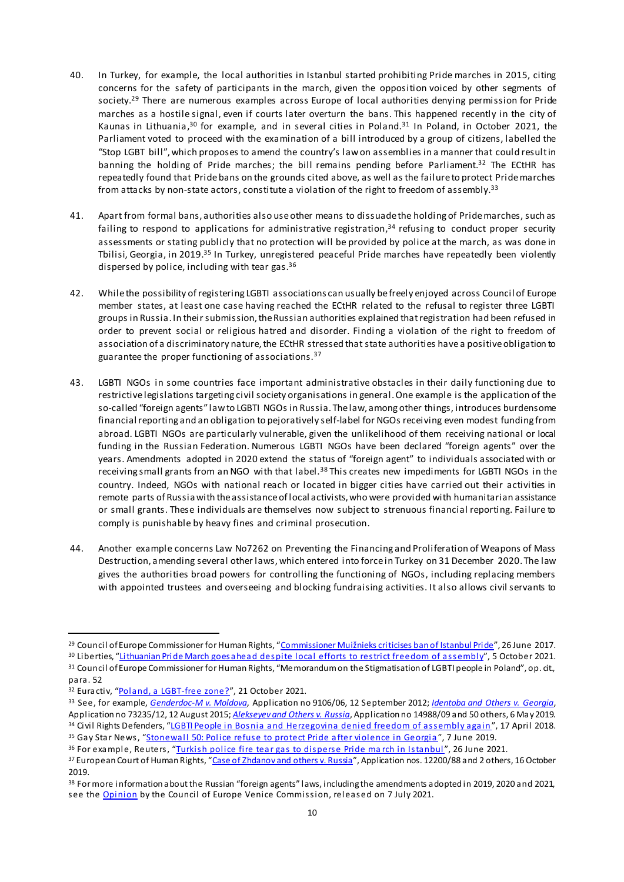- 40. In Turkey, for example, the local authorities in Istanbul started prohibiting Pride marches in 2015, citing concerns for the safety of participants in the march, given the opposition voiced by other segments of society.<sup>29</sup> There are numerous examples across Europe of local authorities denying permission for Pride marches as a hostile signal, even if courts later overturn the bans. This happened recently in the city of Kaunas in Lithuania,<sup>30</sup> for example, and in several cities in Poland.<sup>31</sup> In Poland, in October 2021, the Parliament voted to proceed with the examination of a bill introduced by a group of citizens, labelled the "Stop LGBT bill", which proposes to amend the country's law on assemblies in a manner that could result in banning the holding of Pride marches; the bill remains pending before Parliament.<sup>32</sup> The ECtHR has repeatedly found that Pride bans on the grounds cited above, as well as the failure to protect Pride marches from attacks by non-state actors, constitute a violation of the right to freedom of assembly.<sup>33</sup>
- 41. Apart from formal bans, authorities also use other means to dissuade the holding of Pride marches, such as failing to respond to applications for administrative registration,<sup>34</sup> refusing to conduct proper security assessments or stating publicly that no protection will be provided by police at the march, as was done in Tbilisi, Georgia, in 2019.<sup>35</sup> In Turkey, unregistered peaceful Pride marches have repeatedly been violently dispersed by police, including with tear gas.<sup>36</sup>
- 42. While the possibility ofregistering LGBTI associations can usually be freely enjoyed across Council of Europe member states, at least one case having reached the ECtHR related to the refusal to register three LGBTI groups in Russia. In their submission, the Russian authorities explained that registration had been refused in order to prevent social or religious hatred and disorder. Finding a violation of the right to freedom of association of a discriminatory nature, the ECtHR stressed that state authorities have a positive obligation to guarantee the proper functioning of associations.<sup>37</sup>
- 43. LGBTI NGOs in some countries face important administrative obstacles in their daily functioning due to restrictive legislations targeting civil society organisations in general. One example is the application of the so-called "foreign agents" law to LGBTI NGOs in Russia. The law, among other things, introduces burdensome financial reporting and an obligation to pejoratively self-label for NGOs receiving even modest funding from abroad. LGBTI NGOs are particularly vulnerable, given the unlikelihood of them receiving national or local funding in the Russian Federation. Numerous LGBTI NGOs have been declared "foreign agents" over the years. Amendments adopted in 2020 extend the status of "foreign agent" to individuals associated with or receiving small grants from an NGO with that label.<sup>38</sup> This creates new impediments for LGBTI NGOs in the country. Indeed, NGOs with national reach or located in bigger cities have carried out their activities in remote parts of Russia with the assistance of local activists, who were provided with humanitarian assistance or small grants. These individuals are themselves now subject to strenuous financial reporting. Failure to comply is punishable by heavy fines and criminal prosecution.
- 44. Another example concerns Law No7262 on Preventing the Financing and Proliferation of Weapons of Mass Destruction, amending several other laws, which entered into force in Turkey on 31 December 2020. The law gives the authorities broad powers for controlling the functioning of NGOs, including replacing members with appointed trustees and overseeing and blocking fundraising activities. It also allows civil servants to

<sup>&</sup>lt;sup>29</sup> Council of Europe Commissioner for Human Rights, "Commissioner [Muižnieks criticises ban of Istanbul Pride](https://www.coe.int/en/web/commissioner/-/commissioner-muiznieks-criticises-ban-of-istanbul-pride)", 26 June 2017.

<sup>&</sup>lt;sup>30</sup> Liberties, "[Lithuanian Pride March goes ahead despite local efforts to restrict freedom of ass](https://www.liberties.eu/en/stories/lithuania-lgbt-pride-celebration-despite-restrictions/43766)embly", 5 October 2021. 31 Council of Europe Commissioner for Human Rights, "Memorandum on the Stigmatisation of LGBTI people in Poland", op. cit., para. 52

<sup>32</sup> Euractiv, "[Poland, a LGBT-free zon](https://www.euractiv.com/section/politics/short_news/poland-a-lgbt-free-zone/)e?", 21 October 2021.

<sup>33</sup> See, for example, *[Genderdoc-M v. Moldova](https://hudoc.echr.coe.int/eng#{%22fulltext%22:[%22genderdoc%22],%22itemid%22:[%22001-111394%22]})*, Application no 9106/06, 12 September 2012; *[Identoba and Others v. Georgia](https://hudoc.echr.coe.int/eng#{%22itemid%22:[%22001-154400%22]})*, Application no 73235/12, 12 August 2015; *[Alekseyev and Others v. Russia](https://hudoc.echr.coe.int/eng#{%22itemid%22:[%22001-187903%22]})*, Application no 14988/09 and 50 others, 6 May 2019. <sup>34</sup> Civil Rights Defenders, "LGBTI People in Bosnia and [Herzegovina denied freedom of assembl](https://crd.org/2018/04/17/lgbt-people-in-bosnia-and-herzegovina-denied-freedom-of-assembly-again/)y again", 17 April 2018.

<sup>&</sup>lt;sup>35</sup> Gay Star News, "[Stonewall 50: Police refuse to protect Pride after violence in G](https://www.gaystarnews.com/article/stonewall-50-police-refuse-to-protect-pride-goers-after-threats-of-violence-in-georgia/)eorgia", 7 June 2019.

<sup>&</sup>lt;sup>36</sup> For example, Reuters, "[Turkish police fire tear gas to disperse Pride ma](https://www.reuters.com/world/middle-east/turkish-police-fire-tear-gas-disperse-pride-march-istanbul-2021-06-26/)rch in Istanbul", 26 June 2021. 37 European Court of Human Rights, "[Case of Zhdanov and others v. Russia](https://hudoc.echr.coe.int/eng#{%22itemid%22:[%22001-194448%22]})", Application nos. 12200/88 and 2 others, 16 October 2019.

<sup>38</sup> For more information about the Russian "foreign agents" laws, including the amendments adopted in 2019, 2020 and 2021, see th[e Opinio](https://u7061146.ct.sendgrid.net/ls/click?upn=4tNED-2FM8iDZJQyQ53jATUen2GAgJA8yiRO4LUZFN68u2YWlmPREqvrM3KDjFxNZ8IRnqfjdkA0ZE-2BZqQZbGfugtuvOjCcpnG9mbWkU3KBWU-3DnJhA_WnOTQN3ryhDAH6QOfRZjatHsYr8uGXio16etKWKm0bqETZr23aLpsGcjC6z8ZZ29D4btJiy07VgLmRQD5d1St-2FOsx5usnofK77dqa94OgAX12WCEsS0jSKbBTzc3B8dwn7IuBNsz9wmZn3cPy9E68-2BuozWWCnVPre640q7-2F9jM3qtuUZj-2BIMp3eU-2B8Mz88zeRH7FOs6alIUwH-2FyLzzQFLtJ27knb6jBTne8i67mGNcBjdZLKXLmq-2BZpcEWWi30zUhCqBbA9Vamik5x1gCNPoQAOTyWcCagHyOgmZsFCLkj6IclRzv7KqFYnB8RaGy5-2BTBzasn50soP2X3dEED3phyQhikf14pmPkophzXqbP9Ns-3D)n by the Council of Europe Venice Commission, released on 7 July 2021.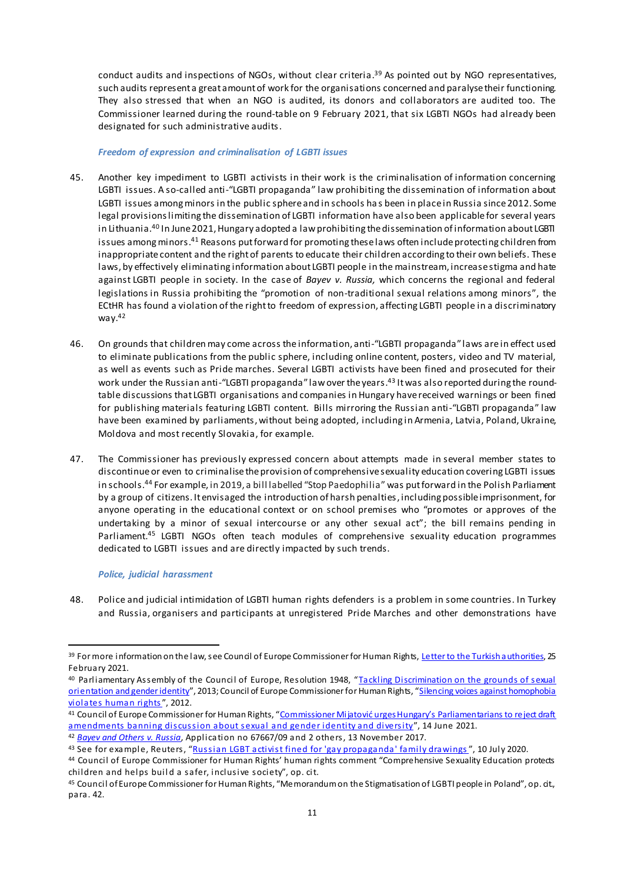conduct audits and inspections of NGOs, without clear criteria. <sup>39</sup> As pointed out by NGO representatives, such audits represent a great amount of work for the organisations concerned and paralyse their functioning. They also stressed that when an NGO is audited, its donors and collaborators are audited too. The Commissioner learned during the round-table on 9 February 2021, that six LGBTI NGOs had already been designated for such administrative audits.

#### *Freedom of expression and criminalisation of LGBTI issues*

- 45. Another key impediment to LGBTI activists in their work is the criminalisation of information concerning LGBTI issues. A so-called anti-"LGBTI propaganda" law prohibiting the dissemination of information about LGBTI issues among minors in the public sphere and in schools ha s been in place in Russia since 2012. Some legal provisions limiting the dissemination of LGBTI information have also been applicable for several years in Lithuania.<sup>40</sup> In June 2021, Hungary adopted a law prohibiting the dissemination of information about LGBTI issues among minors. <sup>41</sup> Reasons put forward for promoting these laws often include protecting children from inappropriate content and the right of parents to educate their children according to their own beliefs. These laws, by effectively eliminating information about LGBTI people in the mainstream, increase stigma and hate against LGBTI people in society. In the case of *Bayev v. Russia,* which concerns the regional and federal legislations in Russia prohibiting the "promotion of non-traditional sexual relations among minors", the ECtHR has found a violation of the right to freedom of expression, affecting LGBTI people in a discriminatory way. 42
- 46. On grounds that children may come across the information, anti-"LGBTI propaganda" laws are in effect used to eliminate publications from the public sphere, including online content, posters, video and TV material, as well as events such as Pride marches. Several LGBTI activists have been fined and prosecuted for their work under the Russian anti-"LGBTI propaganda" lawover the years. <sup>43</sup> It was also reported during the roundtable discussions that LGBTI organisations and companies in Hungary have received warnings or been fined for publishing materials featuring LGBTI content. Bills mirroring the Russian anti-"LGBTI propaganda" law have been examined by parliaments, without being adopted, including in Armenia, Latvia, Poland, Ukraine, Moldova and most recently Slovakia, for example.
- 47. The Commissioner has previously expressed concern about attempts made in several member states to discontinue or even to criminalise the provision of comprehensive sexuality education covering LGBTI issues in schools.<sup>44</sup> For example, in 2019, a bill labelled "Stop Paedophilia" was put forward in the Polish Parliament by a group of citizens. It envisaged the introduction of harsh penalties, including possible imprisonment, for anyone operating in the educational context or on school premises who "promotes or approves of the undertaking by a minor of sexual intercourse or any other sexual act"; the bill remains pending in Parliament.<sup>45</sup> LGBTI NGOs often teach modules of comprehensive sexuality education programmes dedicated to LGBTI issues and are directly impacted by such trends.

#### *Police, judicial harassment*

 $\overline{a}$ 

48. Police and judicial intimidation of LGBTI human rights defenders is a problem in some countries. In Turkey and Russia, organisers and participants at unregistered Pride Marches and other demonstrations have

<sup>&</sup>lt;sup>39</sup> For more information on the law, see Council of Europe Commissioner for Human Rights[, Letter to the Turkish authorities,](https://rm.coe.int/letter-to-mr-suleyman-soylu-minister-of-interior-of-the-republic-of-tu/1680a18d4c) 25 February 2021.

<sup>40</sup> Parliamentary Assembly of the Council of Europe, Resolution 1948, "Tackling Discrimination on the grounds of sexual [orientation and gender identity](http://assembly.coe.int/nw/xml/XRef/Xref-XML2HTML-en.asp?fileid=20010)", 2013; Council of Europe Commissioner for Human Rights, "Silencing voices against homophobia [violates human righ](https://www.coe.int/en/web/commissioner/-/silencing-voices-against-homophobia-violates-human-righ-1)ts", 2012.

<sup>41</sup> Council of Europe Commissioner for Human Rights, "Commissioner Mijatović urges Hungary's Parliamentarians to reject draft [amendments banning discussion about sexual and gender identity and](https://www.coe.int/en/web/commissioner/-/commissioner-mijatovic-urges-hungary-s-parliamentarians-to-reject-draft-amendments-banning-discussion-about-sexual-and-gender-identity-and-diversity) diversity", 14 June 2021.

<sup>42</sup> *[Bayev and Others v. Russia](https://hudoc.echr.coe.int/eng#{%22fulltext%22:[%22bayev%22],%22documentcollectionid2%22:[%22GRANDCHAMBER%22,%22CHAMBER%22],%22itemid%22:[%22001-174422%22]})*, Application no 67667/09 and 2 others, 13 November 2017.

<sup>43</sup> See for example, Reuters, "[Russian LGBT activist fined for 'gay propaganda' family](https://www.reuters.com/article/us-russia-activist-court-idUSKBN24B2IY) drawings", 10 July 2020.

<sup>44</sup> Council of Europe Commissioner for Human Rights' human rights comment "Comprehensive Sexuality Education protects children and helps build a safer, inclusive society", op. cit.

<sup>45</sup> Council of Europe Commissioner for Human Rights, "Memorandum on the Stigmatisation of LGBTI people in Poland", op. cit., para. 42.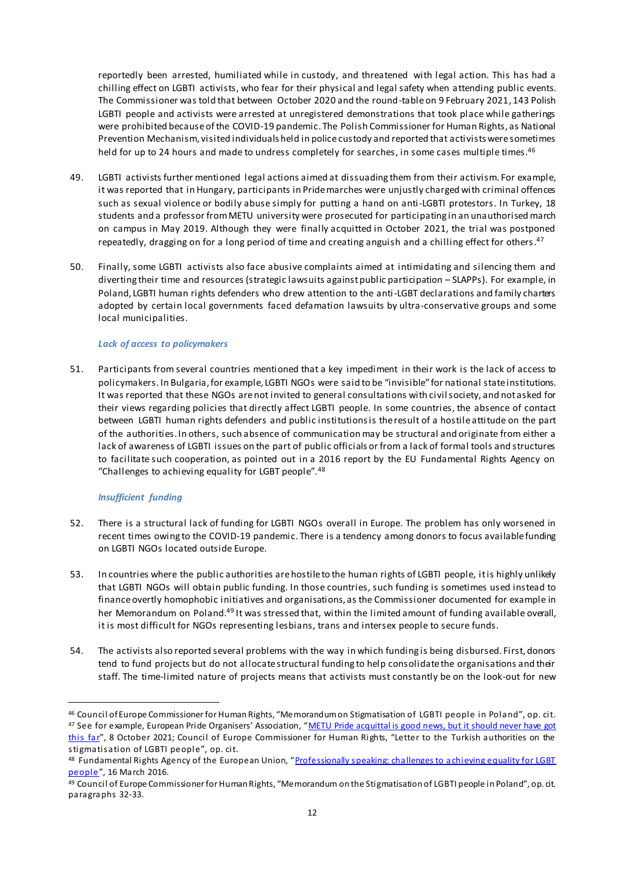reportedly been arrested, humiliated while in custody, and threatened with legal action. This has had a chilling effect on LGBTI activists, who fear for their physical and legal safety when attending public events. The Commissioner was told that between October 2020 and the round-tableon 9 February 2021, 143 Polish LGBTI people and activists were arrested at unregistered demonstrations that took place while gatherings were prohibited because of the COVID-19 pandemic. The Polish Commissioner for Human Rights, as National Prevention Mechanism, visited individuals held in policecustody and reported that activists were sometimes held for up to 24 hours and made to undress completely for searches, in some cases multiple times.<sup>46</sup>

- 49. LGBTI activists further mentioned legal actions aimed at dissuading them from their activism. For example, it was reported that in Hungary, participants in Pride marches were unjustly charged with criminal offences such as sexual violence or bodily abuse simply for putting a hand on anti-LGBTI protestors. In Turkey, 18 students and a professor from METU university were prosecuted for participating in an unauthorised march on campus in May 2019. Although they were finally acquitted in October 2021, the trial was postponed repeatedly, dragging on for a long period of time and creating anguish and a chilling effect for others. 47
- 50. Finally, some LGBTI activists also face abusive complaints aimed at intimidating and silencing them and diverting their time and resources (strategic lawsuits against public participation – SLAPPs). For example, in Poland, LGBTI human rights defenders who drew attention to the anti-LGBT declarations and family charters adopted by certain local governments faced defamation lawsuits by ultra-conservative groups and some local municipalities.

#### *Lack of access to policymakers*

51. Participants from several countries mentioned that a key impediment in their work is the lack of access to policymakers. In Bulgaria, for example, LGBTI NGOs were said to be "invisible" for national state institutions. It was reported that these NGOs are not invited to general consultations with civil society, and not asked for their views regarding policies that directly affect LGBTI people. In some countries, the absence of contact between LGBTI human rights defenders and public institutions is the result of a hostile attitude on the part of the authorities. In others, such absence of communication may be structural and originate from either a lack of awareness of LGBTI issues on the part of public officials or from a lack of formal tools and structures to facilitate such cooperation, as pointed out in a 2016 report by the EU Fundamental Rights Agency on "Challenges to achieving equality for LGBT people".<sup>48</sup>

#### *Insufficient funding*

- 52. There is a structural lack of funding for LGBTI NGOs overall in Europe. The problem has only worsened in recent times owing to the COVID-19 pandemic. There is a tendency among donors to focus available funding on LGBTI NGOs located outside Europe.
- 53. In countries where the public authorities are hostile to the human rights of LGBTI people, it is highly unlikely that LGBTI NGOs will obtain public funding. In those countries, such funding is sometimes used instead to finance overtly homophobic initiatives and organisations, as the Commissioner documented for example in her Memorandum on Poland.<sup>49</sup> It was stressed that, within the limited amount of funding available overall, it is most difficult for NGOs representing lesbians, trans and intersex people to secure funds.
- 54. The activists also reported several problems with the way in which funding is being disbursed. First, donors tend to fund projects but do not allocate structural funding to help consolidate the organisations and their staff. The time-limited nature of projects means that activists must constantly be on the look-out for new

<sup>46</sup> Council of Europe Commissioner for Human Rights, "Memorandum on Stigmatisation of LGBTI people in Poland", op. cit.

<sup>47</sup> See for example, European Pride Organisers' Association, "METU Pride acquittal is good news, but it should never have got [this far](https://www.epoa.eu/metu-pride-acquittal-is-good-news-but-it-should-never-have-got-this-far/)", 8 October 2021; Council of Europe Commissioner for Human Rights, "Letter to the Turkish authorities on the stigmatisation of LGBTI people", op. cit.

<sup>48</sup> Fundamental Rights Agency of the European Union, "Professionally speaking: challenges to achieving equality for LGBT [people](https://fra.europa.eu/en/publication/2016/professionally-speaking-challenges-achieving-equality-lgbt-people)", 16 March 2016.

<sup>49</sup> Council of Europe Commissioner for Human Rights, "Memorandum on the Stigmatisation of LGBTI people in Poland", op. cit. paragraphs 32-33.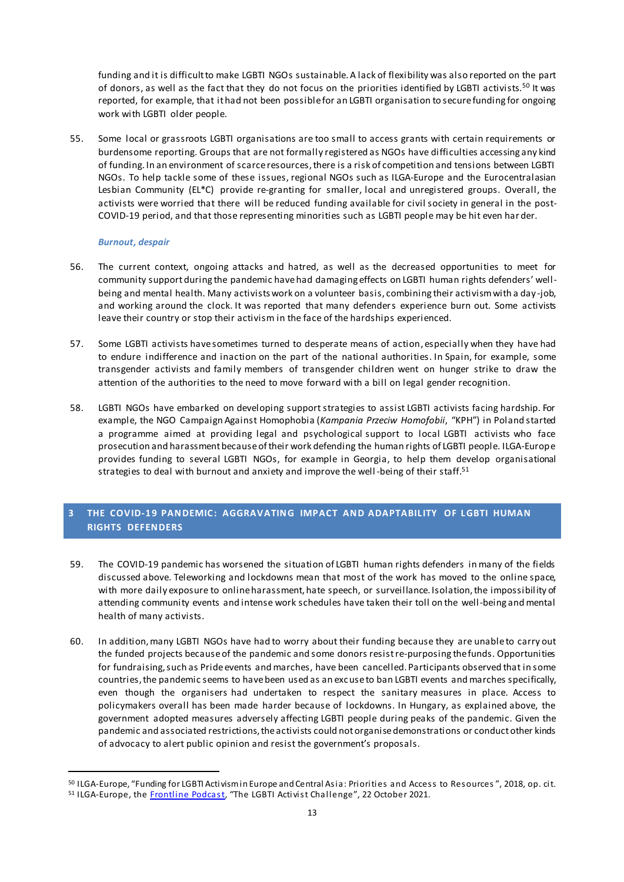funding and it is difficult to make LGBTI NGOs sustainable.A lack of flexibility was also reported on the part of donors, as well as the fact that they do not focus on the priorities identified by LGBTI activists.<sup>50</sup> It was reported, for example, that it had not been possible for an LGBTI organisation to secure funding for ongoing work with LGBTI older people.

55. Some local or grassroots LGBTI organisations are too small to access grants with certain requirements or burdensome reporting. Groups that are not formally registered as NGOs have difficulties accessing any kind of funding. In an environment of scarce resources, there is a risk of competition and tensions between LGBTI NGOs. To help tackle some of these issues, regional NGOs such as ILGA-Europe and the Eurocentralasian Lesbian Community (EL\*C) provide re-granting for smaller, local and unregistered groups. Overall, the activists were worried that there will be reduced funding available for civil society in general in the post-COVID-19 period, and that those representing minorities such as LGBTI people may be hit even har der.

#### *Burnout, despair*

 $\overline{a}$ 

- 56. The current context, ongoing attacks and hatred, as well as the decreased opportunities to meet for community support during the pandemic have had damaging effects on LGBTI human rights defenders' wellbeing and mental health. Many activists work on a volunteer basis, combining their activism with a day -job, and working around the clock. It was reported that many defenders experience burn out. Some activists leave their country or stop their activism in the face of the hardships experienced.
- 57. Some LGBTI activists have sometimes turned to desperate means of action, especially when they have had to endure indifference and inaction on the part of the national authorities. In Spain, for example, some transgender activists and family members of transgender children went on hunger strike to draw the attention of the authorities to the need to move forward with a bill on legal gender recognition.
- 58. LGBTI NGOs have embarked on developing support strategies to assist LGBTI activists facing hardship. For example, the NGO Campaign Against Homophobia (*Kampania Przeciw Homofobii*, "KPH") in Poland started a programme aimed at providing legal and psychological support to local LGBTI activists who face prosecution and harassment because of their work defending the human rights of LGBTI people. ILGA-Europe provides funding to several LGBTI NGOs, for example in Georgia, to help them develop organisational strategies to deal with burnout and anxiety and improve the well-being of their staff. $^{51}$

#### <span id="page-12-0"></span>**3 THE COVID-19 PANDEMIC: AGGRAVATING IMPACT AND ADAPTABIL ITY OF L GBTI HUMAN RIGHTS DEFENDERS**

- 59. The COVID-19 pandemic has worsened the situation of LGBTI human rights defenders in many of the fields discussed above. Teleworking and lockdowns mean that most of the work has moved to the online space, with more daily exposure to online harassment, hate speech, or surveillance. Isolation, the impossibility of attending community events and intense work schedules have taken their toll on the well-being and mental health of many activists.
- 60. In addition, many LGBTI NGOs have had to worry about their funding because they are unable to carry out the funded projects because of the pandemic and some donors resist re-purposing the funds. Opportunities for fundraising, such as Pride events and marches, have been cancelled. Participants observed that in some countries, the pandemic seems to have been used as an excuse to ban LGBTI events and marches specifically, even though the organisers had undertaken to respect the sanitary measures in place. Access to policymakers overall has been made harder because of lockdowns. In Hungary, as explained above, the government adopted measures adversely affecting LGBTI people during peaks of the pandemic. Given the pandemic and associated restrictions, the activists could not organise demonstrations or conduct other kinds of advocacy to alert public opinion and resist the government's proposals.

<sup>50</sup> ILGA-Europe, "Funding for LGBTI Activism in Europe and Central Asia: Priorities and Access to Resources ", 2018, op. cit. 51 ILGA-Europe, th[e Frontline Podca](https://www.ilga-europe.org/frontline-podcast)st, "The LGBTI Activist Challenge", 22 October 2021.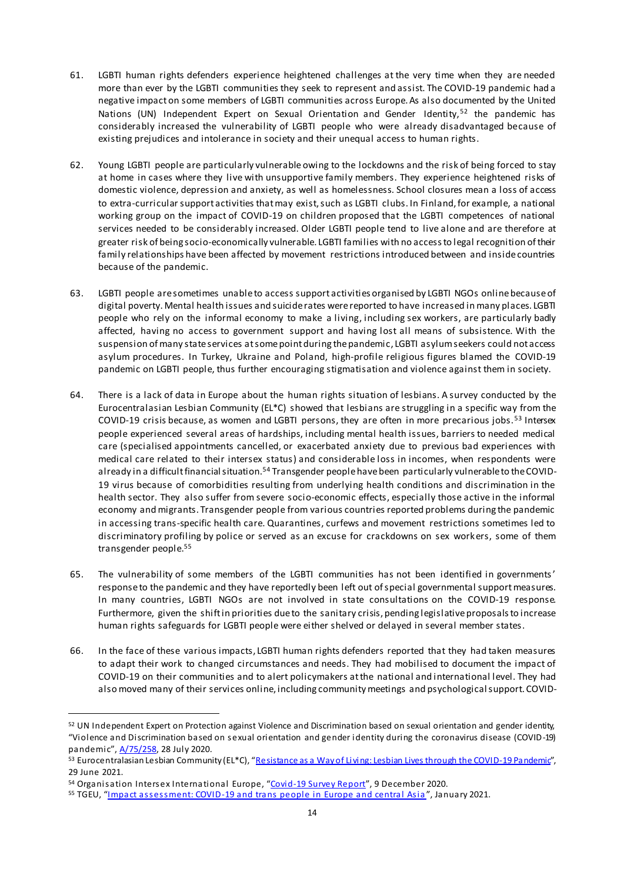- 61. LGBTI human rights defenders experience heightened challenges at the very time when they are needed more than ever by the LGBTI communities they seek to represent and assist. The COVID-19 pandemic had a negative impact on some members of LGBTI communities across Europe. As also documented by the United Nations (UN) Independent Expert on Sexual Orientation and Gender Identity,<sup>52</sup> the pandemic has considerably increased the vulnerability of LGBTI people who were already disadvantaged because of existing prejudices and intolerance in society and their unequal access to human rights.
- 62. Young LGBTI people are particularly vulnerable owing to the lockdowns and the risk of being forced to stay at home in cases where they live with unsupportive family members. They experience heightened risks of domestic violence, depression and anxiety, as well as homelessness. School closures mean a loss of access to extra-curricular support activities that may exist, such as LGBTI clubs. In Finland, for example, a national working group on the impact of COVID-19 on children proposed that the LGBTI competences of national services needed to be considerably increased. Older LGBTI people tend to live alone and are therefore at greater risk of being socio-economically vulnerable. LGBTI families with no access to legal recognition of their family relationships have been affected by movement restrictions introduced between and inside countries because of the pandemic.
- 63. LGBTI people are sometimes unable to access support activities organised by LGBTI NGOs online because of digital poverty. Mental health issues and suicide rates were reported to have increased in many places. LGBTI people who rely on the informal economy to make a living, including sex workers, are particularly badly affected, having no access to government support and having lost all means of subsistence. With the suspension of many state services at some point during the pandemic, LGBTI asylum seekers could not access asylum procedures. In Turkey, Ukraine and Poland, high-profile religious figures blamed the COVID-19 pandemic on LGBTI people, thus further encouraging stigmatisation and violence against them in society.
- 64. There is a lack of data in Europe about the human rights situation of lesbians. A survey conducted by the Eurocentralasian Lesbian Community (EL\*C) showed that lesbians are struggling in a specific way from the COVID-19 crisis because, as women and LGBTI persons, they are often in more precarious jobs.<sup>53</sup> Intersex people experienced several areas of hardships, including mental health issues, barriers to needed medical care (specialised appointments cancelled, or exacerbated anxiety due to previous bad experiences with medical care related to their intersex status) and considerable loss in incomes, when respondents were already in a difficult financial situation.<sup>54</sup> Transgender people have been particularly vulnerable to the COVID-19 virus because of comorbidities resulting from underlying health conditions and discrimination in the health sector. They also suffer from severe socio-economic effects, especially those active in the informal economy and migrants. Transgender people from various countries reported problems during the pandemic in accessing trans-specific health care. Quarantines, curfews and movement restrictions sometimes led to discriminatory profiling by police or served as an excuse for crackdowns on sex workers, some of them transgender people.<sup>55</sup>
- 65. The vulnerability of some members of the LGBTI communities has not been identified in governments ' response to the pandemic and they have reportedly been left out of special governmental support measures. In many countries, LGBTI NGOs are not involved in state consultations on the COVID-19 response. Furthermore, given the shift in priorities due to the sanitary crisis, pending legislative proposals to increase human rights safeguards for LGBTI people were either shelved or delayed in several member states.
- 66. In the face of these various impacts, LGBTI human rights defenders reported that they had taken measures to adapt their work to changed circumstances and needs. They had mobilised to document the impact of COVID-19 on their communities and to alert policymakers at the national and international level. They had also moved many of their services online, including community meetings and psychological support. COVID-

<sup>52</sup> UN Independent Expert on Protection against Violence and Discrimination based on sexual orientation and gender identity, "Violence and Discrimination based on sexual orientation and gender identity during the coronavirus disease (COVID-19) pandemic", [A/75/258](https://undocs.org/A/75/258), 28 July 2020.

<sup>53</sup> Eurocentralasian Lesbian Community (EL\*C), "[Resistance as a Way of Living: Lesbian Lives through the COVID-19 Pandemic](https://europeanlesbianconference.org/resistance-as-a-way-of-living-lesbian-lives-through-the-covid-19-pandemic/)", 29 June 2021.

<sup>54</sup> Organisation Intersex International Europe, "[Covid-19 Survey R](https://oiieurope.org/covid-19-survey-report/)eport", 9 December 2020.

<sup>&</sup>lt;sup>55</sup> TGEU, "[Impact assessment: COVID-19 and trans people in Europe and cent](https://tgeu.org/covid19-and-trans-people-in-europe-and-central-asia/)ral Asia", January 2021.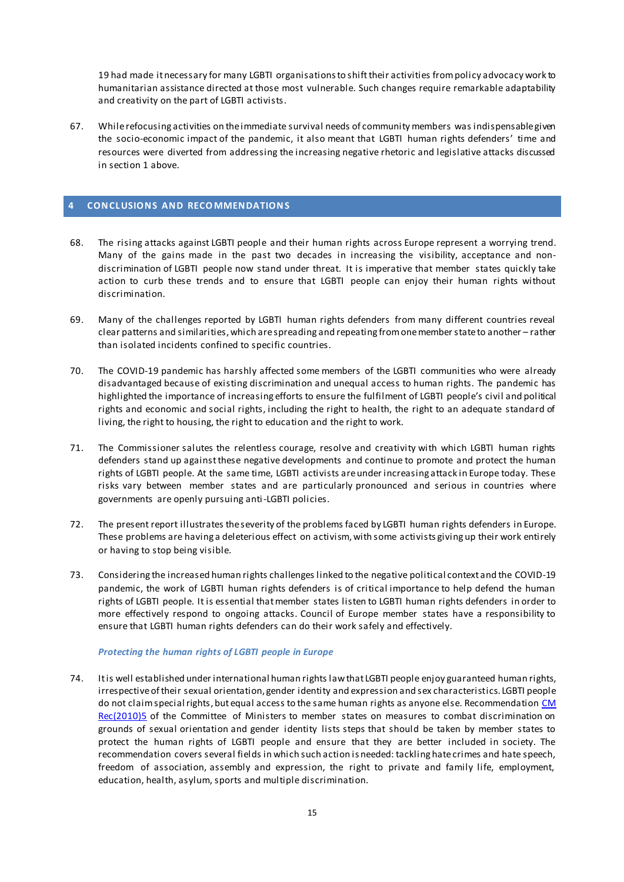19 had made it necessary for many LGBTI organisations to shift their activities from policy advocacy work to humanitarian assistance directed at those most vulnerable. Such changes require remarkable adaptability and creativity on the part of LGBTI activists.

67. While refocusing activities on the immediate survival needs of community members was indispensable given the socio-economic impact of the pandemic, it also meant that LGBTI human rights defenders' time and resources were diverted from addressing the increasing negative rhetoric and legislative attacks discussed in section 1 above.

#### <span id="page-14-0"></span>**4 CONCL USIONS AND RECOMMENDATIONS**

- 68. The rising attacks against LGBTI people and their human rights across Europe represent a worrying trend. Many of the gains made in the past two decades in increasing the visibility, acceptance and nondiscrimination of LGBTI people now stand under threat. It is imperative that member states quickly take action to curb these trends and to ensure that LGBTI people can enjoy their human rights without discrimination.
- 69. Many of the challenges reported by LGBTI human rights defenders from many different countries reveal clear patterns and similarities, which are spreading and repeating from one member state to another – rather than isolated incidents confined to specific countries.
- 70. The COVID-19 pandemic has harshly affected some members of the LGBTI communities who were already disadvantaged because of existing discrimination and unequal access to human rights. The pandemic has highlighted the importance of increasing efforts to ensure the fulfilment of LGBTI people's civil and political rights and economic and social rights, including the right to health, the right to an adequate standard of living, the right to housing, the right to education and the right to work.
- 71. The Commissioner salutes the relentless courage, resolve and creativity with which LGBTI human rights defenders stand up against these negative developments and continue to promote and protect the human rights of LGBTI people. At the same time, LGBTI activists are under increasing attack in Europe today. These risks vary between member states and are particularly pronounced and serious in countries where governments are openly pursuing anti-LGBTI policies.
- 72. The present report illustrates the severity of the problems faced by LGBTI human rights defenders in Europe. These problems are having a deleterious effect on activism, with some activists giving up their work entirely or having to stop being visible.
- 73. Considering the increased human rights challenges linked to the negative political context and the COVID-19 pandemic, the work of LGBTI human rights defenders is of critical importance to help defend the human rights of LGBTI people. It is essential that member states listen to LGBTI human rights defenders in order to more effectively respond to ongoing attacks. Council of Europe member states have a responsibility to ensure that LGBTI human rights defenders can do their work safely and effectively.

#### *Protecting the human rights of LGBTI people in Europe*

74. It is well established under international human rights law that LGBTI people enjoy guaranteed human rights, irrespective of their sexual orientation, gender identity and expression and sex characteristics. LGBTI people do not claim special rights, but equal access to the same human rights as anyone else. Recommendation CM [Rec\(2010\)5](https://www.coe.int/en/web/sogi/rec-2010-5) of the Committee of Ministers to member states on measures to combat discrimination on grounds of sexual orientation and gender identity lists steps that should be taken by member states to protect the human rights of LGBTI people and ensure that they are better included in society. The recommendation covers several fields in which such action is needed: tackling hate crimes and hate speech, freedom of association, assembly and expression, the right to private and family life, employment, education, health, asylum, sports and multiple discrimination.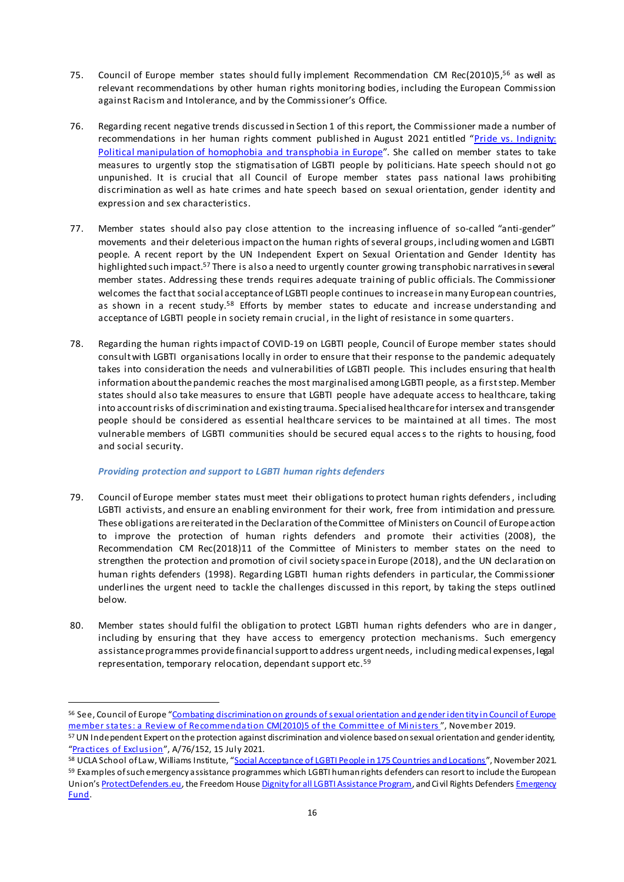- 75. Council of Europe member states should fully implement Recommendation CM Rec(2010)5, <sup>56</sup> as well as relevant recommendations by other human rights monitoring bodies, including the European Commission against Racism and Intolerance, and by the Commissioner's Office.
- 76. Regarding recent negative trends discussed in Section 1 of this report, the Commissioner made a number of recommendations in her human rights comment published in August 2021 entitled "Pride vs. Indignity: [Political manipulation of homophobia and transphobia in Europe](https://www.coe.int/en/web/commissioner/-/pride-vs-indignity-political-manipulation-of-homophobia-and-transphobia-in-europe?inheritRedirect=true&redirect=%2Fen%2Fweb%2Fcommissioner%2Fthematic-work%2Flgbti)". She called on member states to take measures to urgently stop the stigmatisation of LGBTI people by politicians. Hate speech should not go unpunished. It is crucial that all Council of Europe member states pass national laws prohibiting discrimination as well as hate crimes and hate speech based on sexual orientation, gender identity and expression and sex characteristics.
- 77. Member states should also pay close attention to the increasing influence of so-called "anti-gender" movements and their deleterious impact on the human rights of several groups, including women and LGBTI people. A recent report by the UN Independent Expert on Sexual Orientation and Gender Identity has highlighted such impact.<sup>57</sup> There is also a need to urgently counter growing transphobic narratives in several member states. Addressing these trends requires adequate training of public officials. The Commissioner welcomes the fact that social acceptance of LGBTI people continues to increase in many European countries, as shown in a recent study.<sup>58</sup> Efforts by member states to educate and increase understanding and acceptance of LGBTI people in society remain crucial , in the light of resistance in some quarters.
- 78. Regarding the human rights impact of COVID-19 on LGBTI people, Council of Europe member states should consult with LGBTI organisations locally in order to ensure that their response to the pandemic adequately takes into consideration the needs and vulnerabilities of LGBTI people. This includes ensuring that health information about the pandemic reaches the most marginalised among LGBTI people, as a first step. Member states should also take measures to ensure that LGBTI people have adequate access to healthcare, taking into account risks of discrimination and existing trauma. Specialised healthcare for intersex and transgender people should be considered as essential healthcare services to be maintained at all times. The most vulnerable members of LGBTI communities should be secured equal access to the rights to housing, food and social security.

#### *Providing protection and support to LGBTI human rights defenders*

- 79. Council of Europe member states must meet their obligations to protect human rights defenders, including LGBTI activists, and ensure an enabling environment for their work, free from intimidation and pressure. These obligations are reiterated in the Declaration of the Committee of Ministers on Council of Europe action to improve the protection of human rights defenders and promote their activities (2008), the [Recommendation CM Rec\(2018\)11](https://search.coe.int/cm/Pages/result_details.aspx?ObjectID=09000016808fd8b9) of the Committee of Ministers to member states on the need to strengthen the protection and promotion of civil society space in Europe (2018), and the UN declaration on human rights defenders (1998). Regarding LGBTI human rights defenders in particular, the Commissioner underlines the urgent need to tackle the challenges discussed in this report, by taking the steps outlined below.
- 80. Member states should fulfil the obligation to protect LGBTI human rights defenders who are in danger, including by ensuring that they have access to emergency protection mechanisms. Such emergency assistance programmes provide financial support to address urgent needs, including medical expenses, legal representation, temporary relocation, dependant support etc.<sup>59</sup>

<sup>56</sup> See, Council of Europe "[Combating discrimination on grounds of sexual orientation and gender iden](https://rm.coe.int/combating-discrimination-on-grounds-of-sexual-orientation-and-gender-i/16809fb2b8) tity in Council of Europe [member states: a Review of Recommendation CM\(2010\)5 of the Committee of Min](https://rm.coe.int/combating-discrimination-on-grounds-of-sexual-orientation-and-gender-i/16809fb2b8)isters ", November 2019.

<sup>57</sup> UN Independent Expert on the protection against discrimination and violence based on sexual orientation and gender identity, "Practi[ces of Exclusio](https://www.ohchr.org/EN/Issues/SexualOrientationGender/Pages/ReportGenderTheory.aspx)n", A/76/152, 15 July 2021.

<sup>58</sup> UCLA School of Law, Williams Institute, "[Social Acceptance of LGBTI People in 175 Countries and Locations](https://williamsinstitute.law.ucla.edu/publications/global-acceptance-index-lgbt/)", November 2021. 59 Examples of such emergency assistance programmes which LGBTI human rights defenders can resort to include the European Union's [ProtectDefenders.eu](https://protectdefenders.eu/), the Freedom Hous[e Dignity for all LGBTI Assistance Program](https://freedomhouse.org/programs/LGBTI-assistance#:~:text=The%20Dignity%20for%20All%3A%20LGBTI,for%20lesbian%2C%20gay%2C%20bisexual%2C), and Civil Rights Defenders Emergency [Fund.](https://crd.org/emergency-fund/#:~:text=Our%20Emergency%20Fund%20provide%20rapid,physical%20and%20digital%20security%20solutions.)